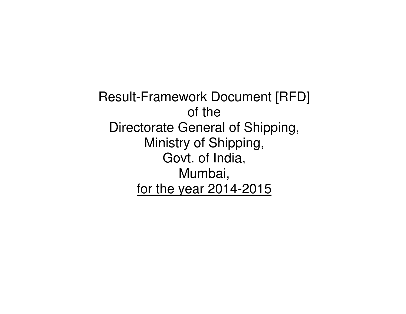Result-Framework Document [RFD] of the Directorate General of Shipping, Ministry of Shipping, Govt. of India, Mumbai, for the year 2014-2015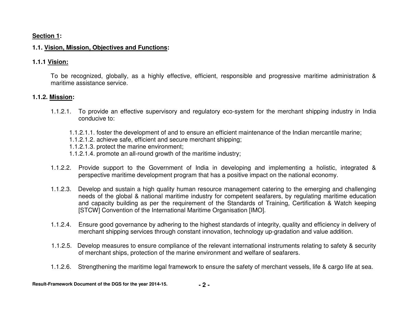#### **Section 1:**

## **1.1. Vision, Mission, Objectives and Functions:**

#### **1.1.1 Vision:**

To be recognized, globally, as a highly effective, efficient, responsible and progressive maritime administration & maritime assistance service.

#### **1.1.2. Mission:**

- 1.1.2.1. To provide an effective supervisory and regulatory eco-system for the merchant shipping industry in India conducive to:
	- 1.1.2.1.1. foster the development of and to ensure an efficient maintenance of the Indian mercantile marine;
	- 1.1.2.1.2. achieve safe, efficient and secure merchant shipping;
	- 1.1.2.1.3. protect the marine environment;
	- 1.1.2.1.4. promote an all-round growth of the maritime industry;
- 1.1.2.2. Provide support to the Government of India in developing and implementing a holistic, integrated & perspective maritime development program that has a positive impact on the national economy.
- 1.1.2.3. Develop and sustain a high quality human resource management catering to the emerging and challenging needs of the global & national maritime industry for competent seafarers, by regulating maritime education and capacity building as per the requirement of the Standards of Training, Certification & Watch keeping [STCW] Convention of the International Maritime Organisation [IMO].
- 1.1.2.4. Ensure good governance by adhering to the highest standards of integrity, quality and efficiency in delivery of merchant shipping services through constant innovation, technology up-gradation and value addition.
- 1.1.2.5. Develop measures to ensure compliance of the relevant international instruments relating to safety & security of merchant ships, protection of the marine environment and welfare of seafarers.
- 1.1.2.6. Strengthening the maritime legal framework to ensure the safety of merchant vessels, life & cargo life at sea.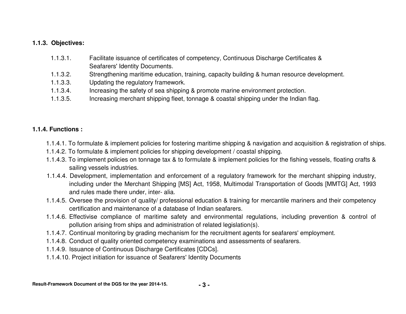## **1.1.3. Objectives:**

- 1.1.3.1. Facilitate issuance of certificates of competency, Continuous Discharge Certificates & Seafarers' Identity Documents.
- 1.1.3.2. Strengthening maritime education, training, capacity building & human resource development.
- 1.1.3.3. Updating the regulatory framework.
- 1.1.3.4. Increasing the safety of sea shipping & promote marine environment protection.
- 1.1.3.5. Increasing merchant shipping fleet, tonnage & coastal shipping under the Indian flag.

# **1.1.4. Functions :**

- 1.1.4.1. To formulate & implement policies for fostering maritime shipping & navigation and acquisition & registration of ships.
- 1.1.4.2. To formulate & implement policies for shipping development / coastal shipping.
- 1.1.4.3. To implement policies on tonnage tax & to formulate & implement policies for the fishing vessels, floating crafts & sailing vessels industries.
- 1.1.4.4. Development, implementation and enforcement of a regulatory framework for the merchant shipping industry, including under the Merchant Shipping [MS] Act, 1958, Multimodal Transportation of Goods [MMTG] Act, 1993 and rules made there under, inter- alia.
- 1.1.4.5. Oversee the provision of quality/ professional education & training for mercantile mariners and their competency certification and maintenance of a database of Indian seafarers.
- 1.1.4.6. Effectivise compliance of maritime safety and environmental regulations, including prevention & control of pollution arising from ships and administration of related legislation(s).
- 1.1.4.7. Continual monitoring by grading mechanism for the recruitment agents for seafarers' employment.
- 1.1.4.8. Conduct of quality oriented competency examinations and assessments of seafarers.
- 1.1.4.9. Issuance of Continuous Discharge Certificates [CDCs].
- 1.1.4.10. Project initiation for issuance of Seafarers' Identity Documents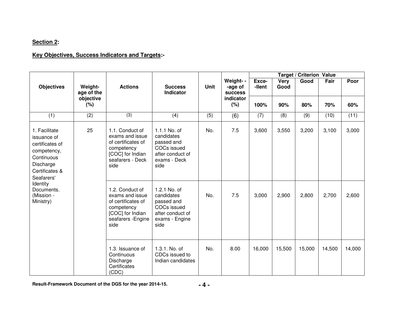# **Section 2:**

## **Key Objectives, Success Indicators and Targets:-**

|                                                                                                                           |                       |                                                                                                                          |                                                                                                              |             |                                        |                 |              | <b>Target / Criterion Value</b> |        |        |  |  |
|---------------------------------------------------------------------------------------------------------------------------|-----------------------|--------------------------------------------------------------------------------------------------------------------------|--------------------------------------------------------------------------------------------------------------|-------------|----------------------------------------|-----------------|--------------|---------------------------------|--------|--------|--|--|
| <b>Objectives</b>                                                                                                         | Weight-<br>age of the | <b>Actions</b>                                                                                                           | <b>Success</b><br><b>Indicator</b>                                                                           | <b>Unit</b> | Weight- -<br>-age of<br><b>success</b> | Exce-<br>-llent | Very<br>Good | Good                            | Fair   | Poor   |  |  |
|                                                                                                                           | objective<br>(%)      |                                                                                                                          |                                                                                                              |             | indicator<br>(%)                       | 100%            | 90%          | 80%                             | 70%    | 60%    |  |  |
| (1)                                                                                                                       | (2)                   | (3)                                                                                                                      | (4)                                                                                                          | (5)         | (6)                                    | (7)             | (8)          | (9)                             | (10)   | (11)   |  |  |
| 1. Facilitate<br>issuance of<br>certificates of<br>competency,<br>Continuous<br>Discharge<br>Certificates &<br>Seafarers' | 25                    | 1.1. Conduct of<br>exams and issue<br>of certificates of<br>competency<br>[COC] for Indian<br>seafarers - Deck<br>side   | 1.1.1 No. of<br>candidates<br>passed and<br>COCs issued<br>after conduct of<br>exams - Deck<br>side          | No.         | 7.5                                    | 3,600           | 3,550        | 3,200                           | 3,100  | 3,000  |  |  |
| Identity<br>Documents.<br>(Mission -<br>Ministry)                                                                         |                       | 1.2. Conduct of<br>exams and issue<br>of certificates of<br>competency<br>[COC] for Indian<br>seafarers - Engine<br>side | 1.2.1 No. of<br>candidates<br>passed and<br><b>COCs issued</b><br>after conduct of<br>exams - Engine<br>side | No.         | 7.5                                    | 3,000           | 2,900        | 2,800                           | 2,700  | 2,600  |  |  |
|                                                                                                                           |                       | 1.3. Issuance of<br>Continuous<br>Discharge<br>Certificates<br>(CDC)                                                     | 1.3.1. No. of<br>CDCs issued to<br>Indian candidates                                                         | No.         | 8.00                                   | 16,000          | 15,500       | 15,000                          | 14,500 | 14,000 |  |  |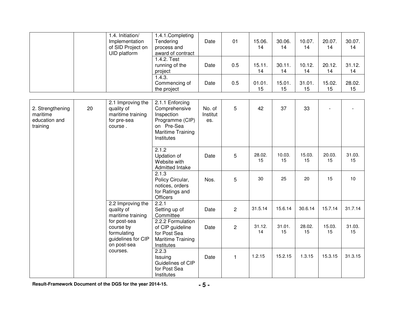|                                                           |    | 1.4. Initiation/<br>Implementation<br>of SID Project on<br>UID platform        | 1.4.1.Completing<br>Tendering<br>process and<br>award of contract                                                  | Date                      | 01             | 15.06.<br>14 | 30.06.<br>14 | 10.07.<br>14 | 20.07.<br>14 | 30.07.<br>14 |
|-----------------------------------------------------------|----|--------------------------------------------------------------------------------|--------------------------------------------------------------------------------------------------------------------|---------------------------|----------------|--------------|--------------|--------------|--------------|--------------|
|                                                           |    |                                                                                | 1.4.2. Test<br>running of the<br>project                                                                           | Date                      | 0.5            | 15.11.<br>14 | 30.11.<br>14 | 10.12.<br>14 | 20.12.<br>14 | 31.12.<br>14 |
|                                                           |    |                                                                                | 1.4.3.<br>Commencing of<br>the project                                                                             | Date                      | 0.5            | 01.01.<br>15 | 15.01.<br>15 | 31.01.<br>15 | 15.02.<br>15 | 28.02.<br>15 |
| 2. Strengthening<br>maritime<br>education and<br>training | 20 | 2.1 Improving the<br>quality of<br>maritime training<br>for pre-sea<br>course. | 2.1.1 Enforcing<br>Comprehensive<br>Inspection<br>Programme (CIP)<br>on Pre-Sea<br>Maritime Training<br>Institutes | No. of<br>Institut<br>es. | 5              | 42           | 37           | 33           |              |              |
|                                                           |    |                                                                                | 2.1.2<br>Updation of<br>Website with<br>Admitted Intake                                                            | Date                      | 5              | 28.02.<br>15 | 10.03.<br>15 | 15.03.<br>15 | 20.03.<br>15 | 31.03.<br>15 |
|                                                           |    |                                                                                | 2.1.3<br>Policy Circular,<br>notices, orders<br>for Ratings and<br>Officers                                        | Nos.                      | 5              | 30           | 25           | 20           | 15           | 10           |
|                                                           |    | 2.2 Improving the<br>quality of<br>maritime training                           | 2.2.1<br>Setting up of<br>Committee                                                                                | Date                      | $\overline{2}$ | 31.5.14      | 15.6.14      | 30.6.14      | 15.7.14      | 31.7.14      |
|                                                           |    | for post-sea<br>course by<br>formulating<br>guidelines for CIP<br>on post-sea  | 2.2.2 Formulation<br>of CIP guideline<br>for Post Sea<br>Maritime Training<br>Institutes                           | Date                      | $\overline{c}$ | 31.12.<br>14 | 31.01.<br>15 | 28.02.<br>15 | 15.03.<br>15 | 31.03.<br>15 |
|                                                           |    | courses.                                                                       | 2.2.3<br>Issuing<br>Guidelines of CIP<br>for Post Sea<br>Institutes                                                | Date                      | $\mathbf{1}$   | 1.2.15       | 15.2.15      | 1.3.15       | 15.3.15      | 31.3.15      |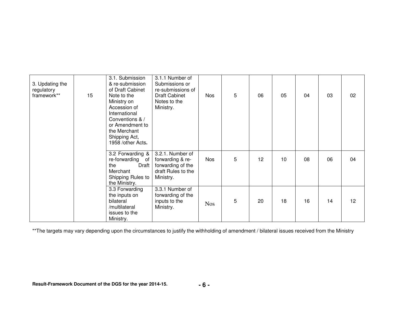| 3. Updating the<br>regulatory<br>framework** | 15 | 3.1. Submission<br>& re-submission<br>of Draft Cabinet<br>Note to the<br>Ministry on<br>Accession of<br>International<br>Conventions & /<br>or Amendment to<br>the Merchant<br>Shipping Act,<br>1958 /other Acts. | 3.1.1 Number of<br>Submissions or<br>re-submissions of<br>Draft Cabinet<br>Notes to the<br>Ministry. | <b>Nos</b> | 5 | 06 | 05 | 04 | 03 | 02 |
|----------------------------------------------|----|-------------------------------------------------------------------------------------------------------------------------------------------------------------------------------------------------------------------|------------------------------------------------------------------------------------------------------|------------|---|----|----|----|----|----|
|                                              |    | 3.2 Forwarding &<br>re-forwarding of<br>Draft<br>the<br>Merchant<br>Shipping Rules to<br>the Ministry.                                                                                                            | 3.2.1. Number of<br>forwarding & re-<br>forwarding of the<br>draft Rules to the<br>Ministry.         | <b>Nos</b> | 5 | 12 | 10 | 08 | 06 | 04 |
|                                              |    | 3.3 Forwarding<br>the inputs on<br>bilateral<br>/multilateral<br>issues to the<br>Ministry.                                                                                                                       | 3.3.1 Number of<br>forwarding of the<br>inputs to the<br>Ministry.                                   | <b>Nos</b> | 5 | 20 | 18 | 16 | 14 | 12 |

\*\*The targets may vary depending upon the circumstances to justify the withholding of amendment / bilateral issues received from the Ministry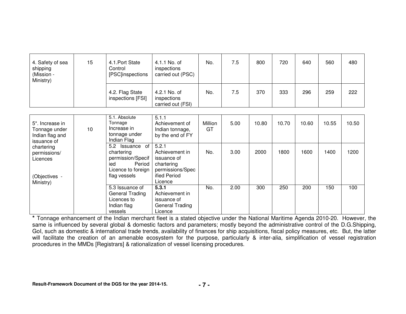| 4. Safety of sea<br>shipping<br>(Mission -<br>Ministry) | 15 | 4.1. Port State<br>Control<br>[PSC]inspections | 4.1.1 No. of<br>inspections<br>carried out (PSC) | No. | 7.5 | 800 | 720 | 640 | 560 | 480 |
|---------------------------------------------------------|----|------------------------------------------------|--------------------------------------------------|-----|-----|-----|-----|-----|-----|-----|
|                                                         |    | 4.2. Flag State<br>inspections [FSI]           | 4.2.1 No. of<br>inspections<br>carried out (FSI) | No. | 7.5 | 370 | 333 | 296 | 259 | 222 |

| 5*. Increase in<br>Tonnage under<br>Indian flag and<br>issuance of   | 10 | 5.1. Absolute<br>Tonnage<br>Increase in<br>tonnage under<br>Indian Flag                                         | 5.1.1<br>Achievement of<br>Indian tonnage,<br>by the end of FY                                      | Million<br>GT | 5.00 | 10.80 | 10.70 | 10.60 | 10.55 | 10.50 |
|----------------------------------------------------------------------|----|-----------------------------------------------------------------------------------------------------------------|-----------------------------------------------------------------------------------------------------|---------------|------|-------|-------|-------|-------|-------|
| chartering<br>permissions/<br>Licences<br>(Objectives -<br>Ministry) |    | of<br>5.2<br>Issuance<br>chartering<br>permission/Specif<br>Period<br>ied<br>Licence to foreign<br>flag vessels | 5.2.1<br>Achievement in<br>issuance of<br>chartering<br>permissions/Spec<br>ified Period<br>Licence | No.           | 3.00 | 2000  | 1800  | 1600  | 1400  | 1200  |
|                                                                      |    | 5.3 Issuance of<br>General Trading<br>Licences to<br>Indian flag<br>vessels                                     | 5.3.1<br>Achievement in<br>issuance of<br>General Trading<br>Licence                                | No.           | 2.00 | 300   | 250   | 200   | 150   | 100   |

 **\*** Tonnage enhancement of the Indian merchant fleet is a stated objective under the National Maritime Agenda 2010-20. However, the same is influenced by several global & domestic factors and parameters; mostly beyond the administrative control of the D.G.Shipping, GoI, such as domestic & international trade trends, availability of finances for ship acquisitions, fiscal policy measures, etc. But, the latter will facilitate the creation of an amenable ecosystem for the purpose, particularly & inter-alia, simplification of vessel registration procedures in the MMDs [Registrars] & rationalization of vessel licensing procedures.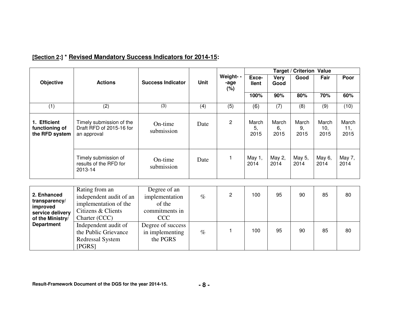|                                                              |                                                                                          |                                                            |             |                          |                       |                     | <b>Target / Criterion Value</b> |                      |                      |
|--------------------------------------------------------------|------------------------------------------------------------------------------------------|------------------------------------------------------------|-------------|--------------------------|-----------------------|---------------------|---------------------------------|----------------------|----------------------|
| <b>Objective</b>                                             | <b>Actions</b>                                                                           | <b>Success Indicator</b>                                   | <b>Unit</b> | Weight- -<br>-age<br>(%) | Exce-<br><b>Ilent</b> | <b>Very</b><br>Good | Good                            | Fair                 | Poor                 |
|                                                              |                                                                                          |                                                            |             |                          | 100%                  | 90%                 | 80%                             | 70%                  | 60%                  |
| (1)                                                          | (2)                                                                                      | (3)                                                        | (4)         | (5)                      | (6)                   | (7)                 | (8)                             | (9)                  | (10)                 |
| 1. Efficient<br>functioning of<br>the RFD system             | Timely submission of the<br>Draft RFD of 2015-16 for<br>an approval                      | On-time<br>submission                                      | Date        | $\overline{c}$           | March<br>5,<br>2015   | March<br>6,<br>2015 | March<br>9,<br>2015             | March<br>10,<br>2015 | March<br>11,<br>2015 |
|                                                              | Timely submission of<br>results of the RFD for<br>2013-14                                | On-time<br>submission                                      | Date        | 1                        | May 1,<br>2014        | May 2,<br>2014      | May 5,<br>2014                  | May 6,<br>2014       | May 7,<br>2014       |
|                                                              |                                                                                          |                                                            |             |                          |                       |                     |                                 |                      |                      |
| 2. Enhanced<br>transparency/<br>improved<br>service delivery | Rating from an<br>independent audit of an<br>implementation of the<br>Citizens & Clients | Degree of an<br>implementation<br>of the<br>commitments in | $\%$        | $\overline{2}$           | 100                   | 95                  | 90                              | 85                   | 80                   |
| of the Ministry/                                             | Charter (CCC)                                                                            | <b>CCC</b>                                                 |             |                          |                       |                     |                                 |                      |                      |
| <b>Department</b>                                            | Independent audit of<br>the Public Grievance<br>Redressal System<br>[PGRS]               | Degree of success<br>in implementing<br>the PGRS           | $\%$        | 1                        | 100                   | 95                  | 90                              | 85                   | 80                   |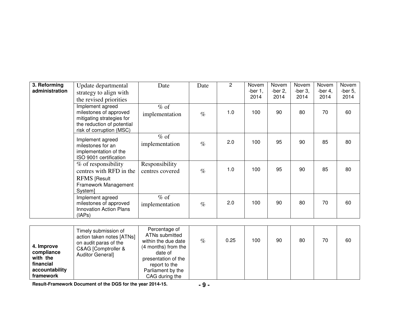| 3. Reforming<br>administration | Update departmental<br>strategy to align with<br>the revised priorities                                                           | Date                              | Date | 2   | Novem<br>-ber $1,$<br>2014 | Novem<br>-ber $2$ ,<br>2014 | Novem<br>-ber $3$ ,<br>2014 | Novem<br>-ber $4,$<br>2014 | Novem<br>-ber $5,$<br>2014 |
|--------------------------------|-----------------------------------------------------------------------------------------------------------------------------------|-----------------------------------|------|-----|----------------------------|-----------------------------|-----------------------------|----------------------------|----------------------------|
|                                | Implement agreed<br>milestones of approved<br>mitigating strategies for<br>the reduction of potential<br>risk of corruption (MSC) | $%$ of<br>implementation          | $\%$ | 1.0 | 100                        | 90                          | 80                          | 70                         | 60                         |
|                                | Implement agreed<br>milestones for an<br>implementation of the<br>ISO 9001 certification                                          | $%$ of<br>implementation          | $\%$ | 2.0 | 100                        | 95                          | 90                          | 85                         | 80                         |
|                                | % of responsibility<br>centres with RFD in the<br><b>RFMS [Result</b><br>Framework Management<br>System]                          | Responsibility<br>centres covered | $\%$ | 1.0 | 100                        | 95                          | 90                          | 85                         | 80                         |
|                                | Implement agreed<br>milestones of approved<br><b>Innovation Action Plans</b><br>(IAPs)                                            | $%$ of<br>implementation          | $\%$ | 2.0 | 100                        | 90                          | 80                          | 70                         | 60                         |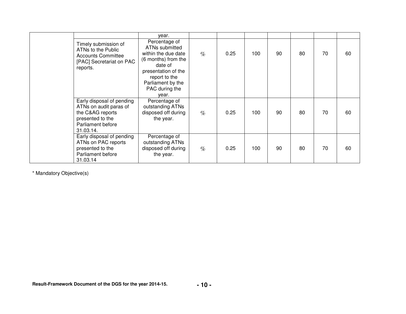|                                                                                                                               | year.                                                                                                                                                                            |      |      |     |    |    |    |    |
|-------------------------------------------------------------------------------------------------------------------------------|----------------------------------------------------------------------------------------------------------------------------------------------------------------------------------|------|------|-----|----|----|----|----|
| Timely submission of<br>ATNs to the Public<br><b>Accounts Committee</b><br>[PAC] Secretariat on PAC<br>reports.               | Percentage of<br>ATNs submitted<br>within the due date<br>(6 months) from the<br>date of<br>presentation of the<br>report to the<br>Parliament by the<br>PAC during the<br>year. | $\%$ | 0.25 | 100 | 90 | 80 | 70 | 60 |
| Early disposal of pending<br>ATNs on audit paras of<br>the C&AG reports<br>presented to the<br>Parliament before<br>31.03.14. | Percentage of<br>outstanding ATNs<br>disposed off during<br>the year.                                                                                                            | $\%$ | 0.25 | 100 | 90 | 80 | 70 | 60 |
| Early disposal of pending<br>ATNs on PAC reports<br>presented to the<br>Parliament before<br>31.03.14                         | Percentage of<br>outstanding ATNs<br>disposed off during<br>the year.                                                                                                            | $\%$ | 0.25 | 100 | 90 | 80 | 70 | 60 |

\* Mandatory Objective(s)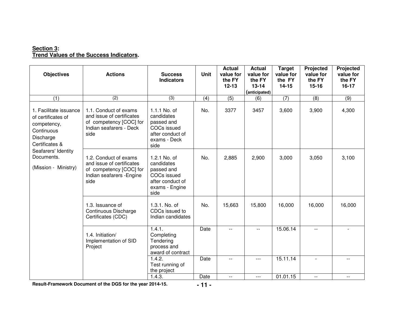# **Section 3: Trend Values of the Success Indicators.**

| <b>Objectives</b>                                                                                                                                                     | <b>Actions</b>                                                                                                     | <b>Success</b><br><b>Indicators</b>                                                                        | <b>Unit</b> | <b>Actual</b><br>value for<br>the FY<br>$12 - 13$ | <b>Actual</b><br>value for<br>the FY<br>$13 - 14$<br>(anticipated) | <b>Target</b><br>value for<br>the FY<br>14-15 | Projected<br>value for<br>the FY<br>$15 - 16$ | Projected<br>value for<br>the FY<br>$16-17$ |
|-----------------------------------------------------------------------------------------------------------------------------------------------------------------------|--------------------------------------------------------------------------------------------------------------------|------------------------------------------------------------------------------------------------------------|-------------|---------------------------------------------------|--------------------------------------------------------------------|-----------------------------------------------|-----------------------------------------------|---------------------------------------------|
| $\overline{(1)}$                                                                                                                                                      | $\overline{(2)}$                                                                                                   | $\overline{3)}$                                                                                            | (4)         | $\overline{(5)}$                                  | (6)                                                                | $\overline{(7)}$                              | (8)                                           | $\overline{(9)}$                            |
| 1. Facilitate issuance<br>of certificates of<br>competency,<br>Continuous<br>Discharge<br>Certificates &<br>Seafarers' Identity<br>Documents.<br>(Mission - Ministry) | 1.1. Conduct of exams<br>and issue of certificates<br>of competency [COC] for<br>Indian seafarers - Deck<br>side   | 1.1.1 No. of<br>candidates<br>passed and<br><b>COCs issued</b><br>after conduct of<br>exams - Deck<br>side | No.         | 3377                                              | 3457                                                               | 3,600                                         | 3,900                                         | 4,300                                       |
|                                                                                                                                                                       | 1.2. Conduct of exams<br>and issue of certificates<br>of competency [COC] for<br>Indian seafarers - Engine<br>side | 1.2.1 No. of<br>candidates<br>passed and<br>COCs issued<br>after conduct of<br>exams - Engine<br>side      | No.         | 2,885                                             | 2,900                                                              | 3,000                                         | 3,050                                         | 3,100                                       |
|                                                                                                                                                                       | 1.3. Issuance of<br>Continuous Discharge<br>Certificates (CDC)                                                     | 1.3.1. No. of<br>CDCs issued to<br>Indian candidates                                                       | No.         | 15,663                                            | 15,800                                                             | 16,000                                        | 16,000                                        | 16,000                                      |
|                                                                                                                                                                       | 1.4. Initiation/<br>Implementation of SID<br>Project                                                               | 1.4.1.<br>Completing<br>Tendering<br>process and<br>award of contract                                      | Date        |                                                   | $-$                                                                | 15.06.14                                      | $- -$                                         |                                             |
|                                                                                                                                                                       |                                                                                                                    | 1.4.2.<br>Test running of<br>the project                                                                   | Date        | $\overline{\phantom{a}}$                          | $---$                                                              | 15.11.14                                      | $\overline{\phantom{a}}$                      | $- -$                                       |
|                                                                                                                                                                       |                                                                                                                    | 1.4.3.                                                                                                     | Date        | $- -$                                             | $---$                                                              | 01.01.15                                      | $\overline{\phantom{a}}$                      | $\overline{\phantom{a}}$                    |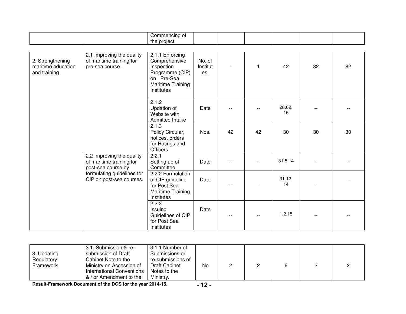|                                                        |                                                                             | Commencing of<br>the project                                                                                       |                           |     |    |              |    |    |
|--------------------------------------------------------|-----------------------------------------------------------------------------|--------------------------------------------------------------------------------------------------------------------|---------------------------|-----|----|--------------|----|----|
| 2. Strengthening<br>maritime education<br>and training | 2.1 Improving the quality<br>of maritime training for<br>pre-sea course.    | 2.1.1 Enforcing<br>Comprehensive<br>Inspection<br>Programme (CIP)<br>on Pre-Sea<br>Maritime Training<br>Institutes | No. of<br>Institut<br>es. |     |    | 42           | 82 | 82 |
|                                                        |                                                                             | 2.1.2<br>Updation of<br>Website with<br>Admitted Intake                                                            | Date                      |     |    | 28.02.<br>15 |    |    |
|                                                        |                                                                             | 2.1.3<br>Policy Circular,<br>notices, orders<br>for Ratings and<br>Officers                                        | Nos.                      | 42  | 42 | 30           | 30 | 30 |
|                                                        | 2.2 Improving the quality<br>of maritime training for<br>post-sea course by | 2.2.1<br>Setting up of<br>Committee                                                                                | Date                      | $-$ |    | 31.5.14      |    |    |
|                                                        | formulating guidelines for<br>CIP on post-sea courses.                      | 2.2.2 Formulation<br>of CIP guideline<br>for Post Sea<br>Maritime Training<br>Institutes                           | Date                      |     |    | 31.12.<br>14 |    |    |
|                                                        |                                                                             | 2.2.3<br>Issuing<br>Guidelines of CIP<br>for Post Sea<br>Institutes                                                | Date                      |     |    | 1.2.15       |    |    |

| 3. Updating<br>Regulatory<br>Framework | 3.1. Submission & re-<br>submission of Draft<br>Cabinet Note to the<br>Ministry on Accession of<br>International Conventions<br>& / or Amendment to the | 3.1.1 Number of<br>Submissions or<br>re-submissions of<br>Draft Cabinet<br>Notes to the<br>Ministry. | No. |  |  |  |  |  |
|----------------------------------------|---------------------------------------------------------------------------------------------------------------------------------------------------------|------------------------------------------------------------------------------------------------------|-----|--|--|--|--|--|
|----------------------------------------|---------------------------------------------------------------------------------------------------------------------------------------------------------|------------------------------------------------------------------------------------------------------|-----|--|--|--|--|--|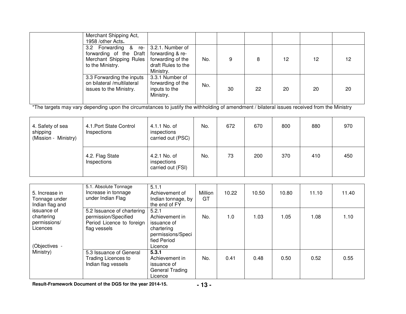| Merchant Shipping Act,<br>1958 /other Acts.                                                    |                                                                                              |     |    |    |    |    |    |
|------------------------------------------------------------------------------------------------|----------------------------------------------------------------------------------------------|-----|----|----|----|----|----|
| 3.2 Forwarding & re-<br>forwarding of the Draft<br>Merchant Shipping Rules<br>to the Ministry. | 3.2.1. Number of<br>forwarding & re-<br>forwarding of the<br>draft Rules to the<br>Ministry. | No. |    | 8  | 12 | 12 | 12 |
| 3.3 Forwarding the inputs<br>on bilateral /multilateral<br>issues to the Ministry.             | 3.3.1 Number of<br>forwarding of the<br>inputs to the<br>Ministry.                           | No. | 30 | 22 | 20 | 20 | 20 |

\*The targets may vary depending upon the circumstances to justify the withholding of amendment / bilateral issues received from the Ministry

| 4. Safety of sea<br>shipping<br>(Mission - Ministry) | 4.1. Port State Control<br>Inspections | 4.1.1 No. of<br>inspections<br>carried out (PSC) | No. | 672 | 670 | 800 | 880 | 970 |
|------------------------------------------------------|----------------------------------------|--------------------------------------------------|-----|-----|-----|-----|-----|-----|
|                                                      | 4.2. Flag State<br>Inspections         | 4.2.1 No. of<br>inspections<br>carried out (FSI) | No. | 73  | 200 | 370 | 410 | 450 |

| 5. Increase in<br>Tonnage under<br>Indian flag and                     | 5.1. Absolute Tonnage<br>Increase in tonnage<br>under Indian Flag                               | 5.1.1<br>Achievement of<br>Indian tonnage, by<br>the end of FY                                      | Million<br>GT | 10.22 | 10.50 | 10.80 | 11.10 | 11.40 |
|------------------------------------------------------------------------|-------------------------------------------------------------------------------------------------|-----------------------------------------------------------------------------------------------------|---------------|-------|-------|-------|-------|-------|
| issuance of<br>chartering<br>permissions/<br>Licences<br>(Objectives - | 5.2 Issuance of chartering<br>permission/Specified<br>Period Licence to foreign<br>flag vessels | 5.2.1<br>Achievement in<br>issuance of<br>chartering<br>permissions/Speci<br>fied Period<br>Licence | No.           | 1.0   | 1.03  | 1.05  | 1.08  | 1.10  |
| Ministry)                                                              | 5.3 Issuance of General<br>Trading Licences to<br>Indian flag vessels                           | 5.3.1<br>Achievement in<br>issuance of<br>General Trading<br>Licence                                | No.           | 0.41  | 0.48  | 0.50  | 0.52  | 0.55  |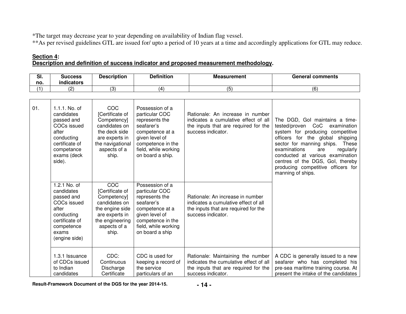\*The target may decrease year to year depending on availability of Indian flag vessel.

\*\*As per revised guidelines GTL are issued for/ upto a period of 10 years at a time and accordingly applications for GTL may reduce.

#### **Section 4: Description and definition of success indicator and proposed measurement methodology.**

| $\sim$<br>vı.<br>no. | <b>Success</b><br>.<br><b>indicators</b> | Description | <b>Definition</b> | <b>Measurement</b> | General<br>comments |
|----------------------|------------------------------------------|-------------|-------------------|--------------------|---------------------|
|                      | $\sqrt{2}$                               | ί3          |                   |                    | /ፎ<br>. ت           |

| 01. | $1.1.1.$ No. of<br>candidates<br>passed and<br>COCs issued<br>after<br>conducting<br>certificate of<br>competance<br>exams (deck<br>side). | COC<br>[Certificate of<br>Competency]<br>candidates on<br>the deck side<br>are experts in<br>the navigational<br>aspects of a<br>ship.  | Possession of a<br>particular COC<br>represents the<br>seafarer's<br>competence at a<br>given level of<br>competence in the<br>field, while working<br>on board a ship. | Rationale: An increase in number<br>indicates a cumulative effect of all<br>the inputs that are required for the<br>success indicator.    | The DGD, Gol maintains a time-<br>CoC<br>tested/proven<br>examination<br>system for producing competitive<br>officers for the global shipping<br>sector for manning ships.<br>These<br>examinations<br>regularly<br>are<br>conducted at various examination<br>centres of the DGS, Gol, thereby<br>producing competitive officers for<br>manning of ships. |
|-----|--------------------------------------------------------------------------------------------------------------------------------------------|-----------------------------------------------------------------------------------------------------------------------------------------|-------------------------------------------------------------------------------------------------------------------------------------------------------------------------|-------------------------------------------------------------------------------------------------------------------------------------------|------------------------------------------------------------------------------------------------------------------------------------------------------------------------------------------------------------------------------------------------------------------------------------------------------------------------------------------------------------|
|     | 1.2.1 No. of<br>candidates<br>passed and<br>COCs issued<br>after<br>conducting<br>certificate of<br>competence<br>exams<br>(engine side)   | COC<br>[Certificate of<br>Competency]<br>candidates on<br>the engine side<br>are experts in<br>the engineering<br>aspects of a<br>ship. | Possession of a<br>particular COC<br>represents the<br>seafarer's<br>competence at a<br>given level of<br>competence in the<br>field, while working<br>on board a ship  | Rationale: An increase in number<br>indicates a cumulative effect of all<br>the inputs that are required for the<br>success indicator.    |                                                                                                                                                                                                                                                                                                                                                            |
|     | 1.3.1 Issuance<br>of CDCs issued<br>to Indian<br>candidates                                                                                | CDC:<br>Continuous<br>Discharge<br>Certificate                                                                                          | CDC is used for<br>keeping a record of<br>the service<br>particulars of an                                                                                              | Rationale: Maintaining the number<br>indicates the cumulative effect of all<br>the inputs that are required for the<br>success indicator. | A CDC is generally issued to a new<br>seafarer who has completed his<br>pre-sea maritime training course. At<br>present the intake of the candidates                                                                                                                                                                                                       |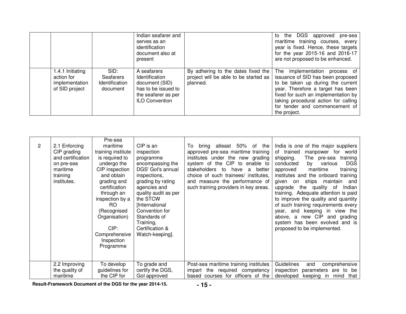|                                                                    |                                                        | Indian seafarer and<br>serves as an<br>identification<br>document also at<br>present                                   |                                                                                             | the DGS approved pre-sea<br>to<br>maritime training courses, every<br>year is fixed. Hence, these targets<br>for the year 2015-16 and 2016-17<br>are not proposed to be enhanced.                                                                                             |
|--------------------------------------------------------------------|--------------------------------------------------------|------------------------------------------------------------------------------------------------------------------------|---------------------------------------------------------------------------------------------|-------------------------------------------------------------------------------------------------------------------------------------------------------------------------------------------------------------------------------------------------------------------------------|
| 1.4.1 Initiating<br>action for<br>implementation<br>of SID project | SID:<br><b>Seafarers</b><br>Identification<br>document | A seafarers<br>Identification<br>document (SID)<br>has to be issued to<br>the seafarer as per<br><b>ILO Convention</b> | By adhering to the dates fixed the  <br>project will be able to be started as  <br>planned. | The implementation process of<br>issuance of SID has been proposed<br>to be taken up during the current<br>year. Therefore a target has been<br>fixed for such an implementation by<br>taking procedural action for calling<br>for tender and commencement of<br>the project. |

| $\mathbf{2}^{\prime}$ | 2.1 Enforcing<br>CIP grading<br>and certification<br>on pre-sea<br>maritime<br>training<br>institutes. | Pre-sea<br>maritime<br>training institute<br>is required to<br>undergo the<br>CIP inspection<br>and obtain<br>grading and<br>certification<br>through an<br>inspection by a<br>RO.<br>(Recognised<br>Organisation)<br>$CIP$ :<br>Comprehensive<br>Inspection<br>Programme | CIP is an<br>inspection<br>programme<br>encompassing the<br>DGS' Gol's annual<br>inspections,<br>grading by rating<br>agencies and<br>quality audit as per<br>the STCW<br>[International<br>Convention for<br>Standards of<br>Training,<br>Certification &<br>Watch-keeping]. | atleast 50% of the<br>To:<br>bring<br>approved pre-sea maritime training<br>institutes under the new grading<br>system of the CIP<br>to enable to<br>stakeholders<br>to<br>better<br>have<br>a<br>choice of such trainees/ institutes,<br>and measure the performance of<br>such training providers in key areas. | India is one of the major suppliers<br>of trained<br>manpower<br>for world<br>shipping.<br>The pre-sea<br>training<br><b>DGS</b><br>conducted<br>by<br>various<br>maritime<br>training<br>approved<br>institutes and the onboard training<br>ships<br>maintain<br>and<br>given<br>on<br>the quality of<br>upgrade<br>Indian<br>training. Adequate attention is paid<br>to improve the quality and quantity<br>of such training requirements every<br>year, and keeping in view the<br>above, a new CIP and grading<br>system has been evolved and is<br>proposed to be implemented. |
|-----------------------|--------------------------------------------------------------------------------------------------------|---------------------------------------------------------------------------------------------------------------------------------------------------------------------------------------------------------------------------------------------------------------------------|-------------------------------------------------------------------------------------------------------------------------------------------------------------------------------------------------------------------------------------------------------------------------------|-------------------------------------------------------------------------------------------------------------------------------------------------------------------------------------------------------------------------------------------------------------------------------------------------------------------|-------------------------------------------------------------------------------------------------------------------------------------------------------------------------------------------------------------------------------------------------------------------------------------------------------------------------------------------------------------------------------------------------------------------------------------------------------------------------------------------------------------------------------------------------------------------------------------|
|                       | 2.2 Improving<br>the quality of<br>maritime                                                            | To develop<br>guidelines for<br>the CIP for                                                                                                                                                                                                                               | To grade and<br>certify the DGS,<br>Gol approved                                                                                                                                                                                                                              | Post-sea maritime training institutes<br>impart the required competency<br>based courses for officers of the                                                                                                                                                                                                      | Guidelines<br>comprehensive<br>and<br>inspection<br>parameters are to be<br>developed<br>keeping<br>in<br>mind<br>that                                                                                                                                                                                                                                                                                                                                                                                                                                                              |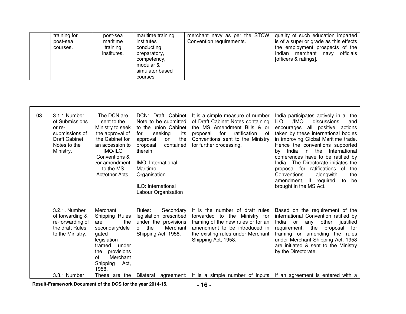| training for<br>post-sea<br>courses. | post-sea<br>maritime<br>training<br>institutes. | maritime training<br>institutes<br>conducting<br>preparatory,<br>competency,<br>modular &<br>simulator based<br>courses | merchant navy as per the STCW<br>Convention requirements. | quality of such education imparted<br>is of a superior grade as this effects<br>the employment prospects of the<br>officials<br>Indian merchant navy<br>[officers & ratings]. |
|--------------------------------------|-------------------------------------------------|-------------------------------------------------------------------------------------------------------------------------|-----------------------------------------------------------|-------------------------------------------------------------------------------------------------------------------------------------------------------------------------------|
|--------------------------------------|-------------------------------------------------|-------------------------------------------------------------------------------------------------------------------------|-----------------------------------------------------------|-------------------------------------------------------------------------------------------------------------------------------------------------------------------------------|

| 03. | 3.1.1 Number<br>of Submissions<br>or re-<br>submissions of<br><b>Draft Cabinet</b><br>Notes to the<br>Ministry. | The DCN are<br>sent to the<br>Ministry to seek<br>the approval of<br>the Cabinet for<br>an accession to<br><b>IMO/ILO</b><br>Conventions &<br>/or amendment<br>to the MS<br>Act/other Acts. | DCN: Draft Cabinet<br>Note to be submitted<br>to the union Cabinet<br>seeking<br>for<br>its<br>the<br>approval<br>on<br>contained<br>proposal<br>therein<br>IMO: International<br>Maritime<br>Organisation<br>ILO: International<br>Labour Organisation | It is a simple measure of number<br>of Draft Cabinet Notes containing<br>the MS Amendment Bills & or<br>ratification<br>for<br>0f<br>proposal<br>Conventions sent to the Ministry<br>for further processing. | India participates actively in all the<br>/IMO<br>ILO.<br>discussions<br>and<br>all positive<br>actions<br>encourages<br>taken by these international bodies<br>in improving Global Maritime trade.<br>Hence the conventions supported<br>in<br>the<br>International<br>India<br>bv.<br>conferences have to be ratified by<br>The Directorate initiates the<br>India.<br>proposal for ratifications of<br>the<br>Conventions<br>alongwith<br>the<br>amendment, if required,<br>to<br>be<br>brought in the MS Act. |
|-----|-----------------------------------------------------------------------------------------------------------------|---------------------------------------------------------------------------------------------------------------------------------------------------------------------------------------------|---------------------------------------------------------------------------------------------------------------------------------------------------------------------------------------------------------------------------------------------------------|--------------------------------------------------------------------------------------------------------------------------------------------------------------------------------------------------------------|-------------------------------------------------------------------------------------------------------------------------------------------------------------------------------------------------------------------------------------------------------------------------------------------------------------------------------------------------------------------------------------------------------------------------------------------------------------------------------------------------------------------|
|     | 3.2.1. Number<br>of forwarding &<br>re-forwarding of<br>the draft Rules<br>to the Ministry.                     | Merchant<br>Shipping Rules<br>are<br>the<br>secondary/dele<br>gated<br>legislation<br>framed<br>under<br>provisions<br>the<br>Merchant<br>οf<br>Shipping<br>Act,<br>1958.                   | Rules:<br>Secondary<br>legislation prescribed<br>under the provisions<br>of the<br>Merchant<br>Shipping Act, 1958.                                                                                                                                      | It is the number of draft rules<br>forwarded to the Ministry for<br>framing of the new rules or for an<br>amendment to be introduced in<br>the existing rules under Merchant<br>Shipping Act, 1958.          | Based on the requirement of the<br>international Convention ratified by<br>other<br>India<br>justified<br>any<br><b>or</b><br>the<br>requirement,<br>proposal<br>for<br>framing or amending the rules<br>under Merchant Shipping Act, 1958<br>are initiated & sent to the Ministry<br>by the Directorate.                                                                                                                                                                                                         |
|     | 3.3.1 Number                                                                                                    | are the<br>These                                                                                                                                                                            | Bilateral<br>agreement:                                                                                                                                                                                                                                 | It is a simple number of inputs                                                                                                                                                                              | If an agreement is entered with a                                                                                                                                                                                                                                                                                                                                                                                                                                                                                 |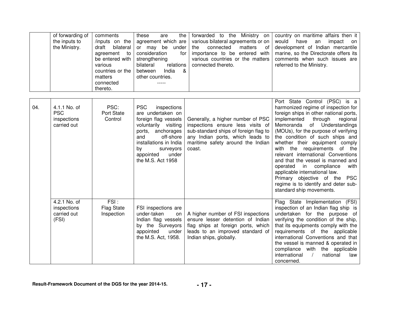| of forwarding of | comments                        | these<br>the<br>are    |                                                                                                | forwarded to the Ministry on country on maritime affairs then it                          |
|------------------|---------------------------------|------------------------|------------------------------------------------------------------------------------------------|-------------------------------------------------------------------------------------------|
| the inputs to    |                                 |                        | /inputs on the agreement which are various bilateral agreements or on $\sqrt{ }$ would have an | impact on                                                                                 |
| the Ministry.    |                                 |                        |                                                                                                | draft bilateral or may be under the connected matters of development of Indian mercantile |
|                  | to l<br>agreement               | consideration<br>for I |                                                                                                | importance to be entered with $\vert$ marine, so the Directorate offers its               |
|                  | be entered with   strengthening |                        |                                                                                                | various countries or the matters   comments when such issues are                          |
|                  | various                         | bilateral<br>relations | connected thereto.                                                                             | referred to the Ministry.                                                                 |
|                  | countries or the                | India<br>between<br>&  |                                                                                                |                                                                                           |
|                  | matters                         | other countries.       |                                                                                                |                                                                                           |
|                  | connected                       | -----                  |                                                                                                |                                                                                           |
|                  | thereto.                        |                        |                                                                                                |                                                                                           |

| 04. | 4.1.1 No. of<br><b>PSC</b><br>inspections<br>carried out | PSC:<br>Port State<br>Control           | <b>PSC</b><br>inspections<br>are undertaken on<br>foreign flag vessels<br>voluntarily visiting<br>ports, anchorages<br>and<br>off-shore<br>installations in India<br>by<br>surveyors<br>appointed<br>under<br>the M.S. Act 1958 | Generally, a higher number of PSC<br>inspections ensure less visits of<br>sub-standard ships of foreign flag to<br>any Indian ports, which leads to<br>maritime safety around the Indian<br>coast. | Port State Control (PSC) is a<br>harmonized regime of inspection for<br>foreign ships in other national ports,<br>through<br>implemented<br>regional<br>Memoranda of Understandings<br>(MOUs), for the purpose of verifying<br>the condition of such ships and<br>whether their equipment comply<br>with the requirements of the<br>relevant international Conventions<br>and that the vessel is manned and<br>operated in compliance<br>with<br>applicable international law.<br>Primary objective of the<br><b>PSC</b><br>regime is to identify and deter sub-<br>standard ship movements. |
|-----|----------------------------------------------------------|-----------------------------------------|---------------------------------------------------------------------------------------------------------------------------------------------------------------------------------------------------------------------------------|----------------------------------------------------------------------------------------------------------------------------------------------------------------------------------------------------|----------------------------------------------------------------------------------------------------------------------------------------------------------------------------------------------------------------------------------------------------------------------------------------------------------------------------------------------------------------------------------------------------------------------------------------------------------------------------------------------------------------------------------------------------------------------------------------------|
|     | 4.2.1 No. of<br>inspections<br>carried out<br>(FSI)      | FSI:<br><b>Flag State</b><br>Inspection | FSI inspections are<br>under-taken<br><b>on</b><br>Indian flag vessels<br>by the Surveyors<br>appointed<br>under<br>the M.S. Act, 1958.                                                                                         | A higher number of FSI inspections<br>ensure lesser detention of Indian<br>flag ships at foreign ports, which<br>leads to an improved standard of<br>Indian ships, globally.                       | Flag State Implementation (FSI)<br>inspection of an Indian flag ship is<br>undertaken for the purpose of<br>verifying the condition of the ship,<br>that its equipments comply with the<br>requirements of the applicable<br>international Conventions and that<br>the vessel is manned & operated in<br>compliance with the applicable<br>international<br>$\frac{1}{2}$<br>national<br>law<br>concerned.                                                                                                                                                                                   |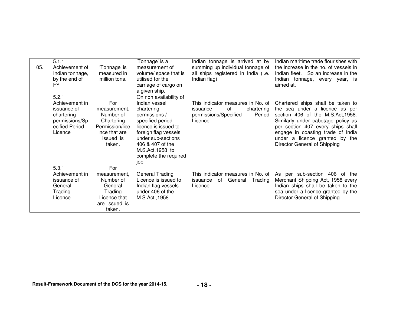| 05. | 5.1.1<br>Achievement of<br>Indian tonnage,<br>by the end of<br>FY.                                  | 'Tonnage' is<br>measured in<br>million tons.                                                             | 'Tonnage' is a<br>measurement of<br>volume/ space that is<br>utilised for the<br>carriage of cargo on<br>a given ship.                                                                                                                   | Indian tonnage is arrived at by<br>summing up individual tonnage of<br>all ships registered in India (i.e.<br>Indian flag) | Indian maritime trade flourishes with<br>the increase in the no. of vessels in<br>Indian fleet. So an increase in the<br>Indian tonnage, every year, is<br>aimed at.                                                                                                                       |
|-----|-----------------------------------------------------------------------------------------------------|----------------------------------------------------------------------------------------------------------|------------------------------------------------------------------------------------------------------------------------------------------------------------------------------------------------------------------------------------------|----------------------------------------------------------------------------------------------------------------------------|--------------------------------------------------------------------------------------------------------------------------------------------------------------------------------------------------------------------------------------------------------------------------------------------|
|     | 5.2.1<br>Achievement in<br>issuance of<br>chartering<br>permissions/Sp<br>ecified Period<br>Licence | For<br>measurement.<br>Number of<br>Chartering<br>Permission/lice<br>nce that are<br>issued is<br>taken. | On non availability of<br>Indian vessel<br>chartering<br>permissions /<br>specified period<br>licence is issued to<br>foreign flag vessels<br>under sub-sections<br>406 & 407 of the<br>M.S.Act, 1958 to<br>complete the required<br>iob | This indicator measures in No. of<br>of<br>chartering<br>issuance<br>permissions/Specified<br>Period<br>Licence            | Chartered ships shall be taken to<br>the sea under a licence as per<br>section 406 of the M.S.Act, 1958.<br>Similarly under cabotage policy as<br>per section 407 every ships shall<br>engage in coasting trade of India<br>under a licence granted by the<br>Director General of Shipping |
|     | 5.3.1<br>Achievement in<br>issuance of<br>General<br>Trading<br>Licence                             | For<br>measurement.<br>Number of<br>General<br>Trading<br>Licence that<br>are issued is<br>taken.        | <b>General Trading</b><br>Licence is issued to<br>Indian flag vessels<br>under 406 of the<br>M.S.Act., 1958                                                                                                                              | This indicator measures in No. of<br>General<br>issuance of<br>Trading<br>Licence.                                         | per sub-section 406 of the<br>As<br>Merchant Shipping Act, 1958 every<br>Indian ships shall be taken to the<br>sea under a licence granted by the<br>Director General of Shipping.                                                                                                         |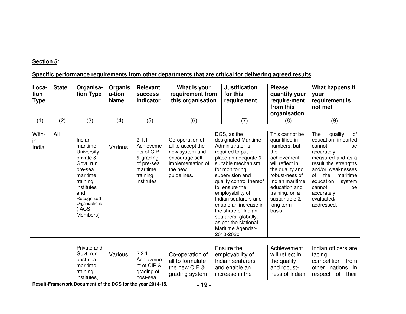#### **Section 5:**

## **Specific performance requirements from other departments that are critical for delivering agreed results.**

| Loca-<br>tion<br>Type | <b>State</b> | Organisa-<br>tion Type | <b>Organis</b><br>a-tion<br><b>Name</b> | Relevant<br><b>success</b><br>indicator | What is your<br>requirement from<br>this organisation | <b>Justification</b><br>for this<br>requirement | <b>Please</b><br>quantify your<br>require-ment<br>from this<br>organisation | What happens if<br>vour<br>requirement is<br>not met |
|-----------------------|--------------|------------------------|-----------------------------------------|-----------------------------------------|-------------------------------------------------------|-------------------------------------------------|-----------------------------------------------------------------------------|------------------------------------------------------|
|                       | (2)          | (3)                    | (4)                                     | (5)                                     | (6)                                                   |                                                 | (8)                                                                         | (9)                                                  |

| With- | All |               |         |            |                   | DGS, as the             | This cannot be  | of<br>The<br>quality  |
|-------|-----|---------------|---------|------------|-------------------|-------------------------|-----------------|-----------------------|
| in.   |     | Indian        |         | 2.1.1      | Co-operation of   | designated Maritime     | quantified in   | education imparted    |
| India |     | maritime      | Various | Achieveme  | all to accept the | Administrator is        | numbers, but    | cannot<br>be          |
|       |     | University,   |         | nts of CIP | new system and    | required to put in      | the             | accurately            |
|       |     | private &     |         | & grading  | encourage self-   | place an adequate &     | achievement     | measured and as a     |
|       |     | Govt. run     |         | of pre-sea | implementation of | suitable mechanism      | will reflect in | result the strengths  |
|       |     | pre-sea       |         | maritime   | the new           | for monitoring,         | the quality and | and/or weaknesses     |
|       |     | maritime      |         | training   | guidelines.       | supervision and         | robust-ness of  | maritime<br>οf<br>the |
|       |     | training      |         | institutes |                   | quality control thereof | Indian maritime | education<br>system   |
|       |     | institutes    |         |            |                   | to ensure the           | education and   | be<br>cannot          |
|       |     | and           |         |            |                   | employability of        | training, on a  | accurately            |
|       |     | Recognized    |         |            |                   | Indian seafarers and    | sustainable &   | evaluated/            |
|       |     | Organizations |         |            |                   | enable an increase in   | long term       | addressed.            |
|       |     | (IACS         |         |            |                   | the share of Indian     | basis.          |                       |
|       |     | Members)      |         |            |                   | seafarers, globally,    |                 |                       |
|       |     |               |         |            |                   | as per the National     |                 |                       |
|       |     |               |         |            |                   | Maritime Agenda:-       |                 |                       |
|       |     |               |         |            |                   | 2010-2020               |                 |                       |

|  | Private and<br>Govt. run<br>Various<br>post-sea<br>maritime<br>training<br>institutes, | 2.2.1.<br>Achieveme<br>nt of CIP &<br>grading of<br>post-sea | Co-operation of<br>all to formulate<br>the new CIP &<br>grading system | Ensure the<br>employability of<br>Indian seafarers $-$<br>and enable an<br>increase in the | Achievement<br>will reflect in<br>the quality<br>and robust-<br>ness of Indian | Indian officers are<br>facing<br>competition<br>from<br>nations<br>other<br>in<br>their<br>of<br>respect |
|--|----------------------------------------------------------------------------------------|--------------------------------------------------------------|------------------------------------------------------------------------|--------------------------------------------------------------------------------------------|--------------------------------------------------------------------------------|----------------------------------------------------------------------------------------------------------|
|--|----------------------------------------------------------------------------------------|--------------------------------------------------------------|------------------------------------------------------------------------|--------------------------------------------------------------------------------------------|--------------------------------------------------------------------------------|----------------------------------------------------------------------------------------------------------|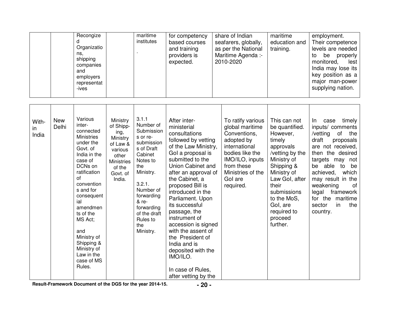| Recongize<br>Organizatio<br>ns.<br>shipping<br>companies<br>and<br>employers<br>representat<br>-ives | maritime<br>institutes | for competency<br>based courses<br>and training<br>providers is<br>expected. | share of Indian<br>seafarers, globally,<br>as per the National<br>Maritime Agenda :-<br>2010-2020 | maritime<br>education and<br>training. | employment.<br>Their competence<br>levels are needed<br>properly<br>be<br>to<br>lest<br>monitored,<br>India may lose its<br>key position as a<br>major man-power<br>supplying nation. |
|------------------------------------------------------------------------------------------------------|------------------------|------------------------------------------------------------------------------|---------------------------------------------------------------------------------------------------|----------------------------------------|---------------------------------------------------------------------------------------------------------------------------------------------------------------------------------------|
|                                                                                                      |                        |                                                                              |                                                                                                   |                                        |                                                                                                                                                                                       |

| With-<br>in<br>India | New<br>Delhi | Various<br>inter-<br>connected<br><b>Ministries</b><br>under the<br>Govt. of<br>India in the<br>case of<br>DCNs on<br>ratification<br>of<br>convention<br>s and for<br>consequent<br>ial<br>amendmen<br>ts of the<br>MS Act;<br>and<br>Ministry of<br>Shipping &<br>Ministry of<br>Law in the<br>case of MS<br>Rules. | Ministry<br>of Shipp-<br>ing,<br>Ministry<br>of Law &<br>various<br>other<br><b>Ministries</b><br>of the<br>Govt. of<br>India. | 3.1.1<br>Number of<br>Submission<br>s or re-<br>submission<br>s of Draft<br>Cabinet<br>Notes to<br>the<br>Ministry.<br>3.2.1.<br>Number of<br>forwarding<br>& re-<br>forwarding<br>of the draft<br>Rules to<br>the<br>Ministry. | After inter-<br>ministerial<br>consultations<br>followed by vetting<br>of the Law Ministry,<br>Gol a proposal is<br>submitted to the<br>Union Cabinet and<br>after an approval of<br>the Cabinet, a<br>proposed Bill is<br>introduced in the<br>Parliament. Upon<br>its successful<br>passage, the<br>instrument of<br>accession is signed<br>with the assent of<br>the President of<br>India and is<br>deposited with the<br>IMO/ILO.<br>In case of Rules,<br>after vetting by the | To ratify various<br>global maritime<br>Conventions,<br>adopted by<br>international<br>bodies like the<br>IMO/ILO, inputs<br>from these<br>Ministries of the<br>Gol are<br>required. | This can not<br>be quantified.<br>However,<br>timely<br>approvals<br>/vetting by the<br>Ministry of<br>Shipping &<br>Ministry of<br>Law Gol, after<br>their<br>submissions<br>to the MoS,<br>Gol, are<br>required to<br>proceed<br>further. | timely<br>In<br>case<br>inputs/ comments<br>/vetting<br>of the<br>draft<br>proposals<br>are not received,<br>then the desired<br>targets may not<br>be able<br>to be<br>achieved,<br>which<br>may result in the<br>weakening<br>оf<br>legal<br>framework<br>for the<br>maritime<br>in.<br>the<br>sector<br>country. |
|----------------------|--------------|-----------------------------------------------------------------------------------------------------------------------------------------------------------------------------------------------------------------------------------------------------------------------------------------------------------------------|--------------------------------------------------------------------------------------------------------------------------------|---------------------------------------------------------------------------------------------------------------------------------------------------------------------------------------------------------------------------------|-------------------------------------------------------------------------------------------------------------------------------------------------------------------------------------------------------------------------------------------------------------------------------------------------------------------------------------------------------------------------------------------------------------------------------------------------------------------------------------|--------------------------------------------------------------------------------------------------------------------------------------------------------------------------------------|---------------------------------------------------------------------------------------------------------------------------------------------------------------------------------------------------------------------------------------------|---------------------------------------------------------------------------------------------------------------------------------------------------------------------------------------------------------------------------------------------------------------------------------------------------------------------|
|----------------------|--------------|-----------------------------------------------------------------------------------------------------------------------------------------------------------------------------------------------------------------------------------------------------------------------------------------------------------------------|--------------------------------------------------------------------------------------------------------------------------------|---------------------------------------------------------------------------------------------------------------------------------------------------------------------------------------------------------------------------------|-------------------------------------------------------------------------------------------------------------------------------------------------------------------------------------------------------------------------------------------------------------------------------------------------------------------------------------------------------------------------------------------------------------------------------------------------------------------------------------|--------------------------------------------------------------------------------------------------------------------------------------------------------------------------------------|---------------------------------------------------------------------------------------------------------------------------------------------------------------------------------------------------------------------------------------------|---------------------------------------------------------------------------------------------------------------------------------------------------------------------------------------------------------------------------------------------------------------------------------------------------------------------|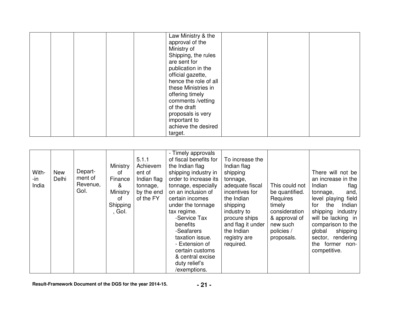|  |  | Law Ministry & the    |  |  |
|--|--|-----------------------|--|--|
|  |  | approval of the       |  |  |
|  |  | Ministry of           |  |  |
|  |  | Shipping, the rules   |  |  |
|  |  | are sent for          |  |  |
|  |  | publication in the    |  |  |
|  |  | official gazette,     |  |  |
|  |  | hence the role of all |  |  |
|  |  | these Ministries in   |  |  |
|  |  | offering timely       |  |  |
|  |  | comments /vetting     |  |  |
|  |  | of the draft          |  |  |
|  |  | proposals is very     |  |  |
|  |  | important to          |  |  |
|  |  | achieve the desired   |  |  |
|  |  | target.               |  |  |

| With-<br>-in<br>India | New<br>Delhi | Depart-<br>ment of<br>Revenue,<br>Gol. | Ministry<br>οf<br>Finance<br>&<br>Ministry<br>οf<br>Shipping<br>, Gol. | 5.1.1<br>Achievem<br>ent of<br>Indian flag<br>tonnage,<br>by the end<br>of the FY | - Timely approvals<br>of fiscal benefits for<br>the Indian flag<br>shipping industry in<br>order to increase its<br>tonnage, especially<br>on an inclusion of<br>certain incomes<br>under the tonnage<br>tax regime.<br>-Service Tax<br>benefits<br>-Seafarers<br>taxation issue.<br>- Extension of<br>certain customs<br>& central excise<br>duty relief's | To increase the<br>Indian flag<br>shipping<br>tonnage,<br>adequate fiscal<br>incentives for<br>the Indian<br>shipping<br>industry to<br>procure ships<br>and flag it under<br>the Indian<br>registry are<br>required. | This could not<br>be quantified.<br>Requires<br>timely<br>consideration<br>& approval of<br>new such<br>policies /<br>proposals. | There will not be<br>an increase in the<br>Indian<br>flag<br>tonnage,<br>and,<br>level playing field<br>the<br>for<br>Indian<br>shipping industry<br>will be lacking in<br>comparison to the<br>shipping<br>global<br>rendering<br>sector,<br>the former non-<br>competitive. |
|-----------------------|--------------|----------------------------------------|------------------------------------------------------------------------|-----------------------------------------------------------------------------------|-------------------------------------------------------------------------------------------------------------------------------------------------------------------------------------------------------------------------------------------------------------------------------------------------------------------------------------------------------------|-----------------------------------------------------------------------------------------------------------------------------------------------------------------------------------------------------------------------|----------------------------------------------------------------------------------------------------------------------------------|-------------------------------------------------------------------------------------------------------------------------------------------------------------------------------------------------------------------------------------------------------------------------------|
|                       |              |                                        |                                                                        |                                                                                   | /exemptions.                                                                                                                                                                                                                                                                                                                                                |                                                                                                                                                                                                                       |                                                                                                                                  |                                                                                                                                                                                                                                                                               |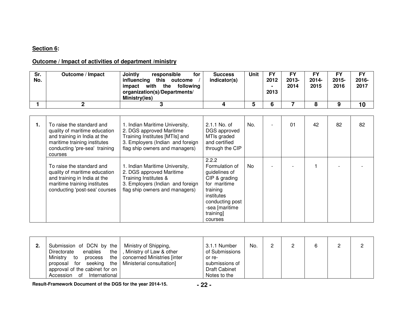# **Section 6:**

## **Outcome / Impact of activities of department /ministry**

| Sr.<br>No. | Outcome / Impact                                                                                                                                                       | Jointly<br>responsible<br>for<br>influencing this outcome<br>with the<br>impact<br>following<br>organization(s)/Departments/<br>Ministry(ies)                      | <b>Success</b><br>indicator(s)                                                                                                                                   | Unit      | <b>FY</b><br>2012<br>2013 | <b>FY</b><br>$2013 -$<br>2014 | <b>FY</b><br>2014-<br>2015 | <b>FY</b><br>2015-<br>2016 | <b>FY</b><br>2016-<br>2017 |
|------------|------------------------------------------------------------------------------------------------------------------------------------------------------------------------|--------------------------------------------------------------------------------------------------------------------------------------------------------------------|------------------------------------------------------------------------------------------------------------------------------------------------------------------|-----------|---------------------------|-------------------------------|----------------------------|----------------------------|----------------------------|
|            | $\mathbf{2}$                                                                                                                                                           | 3                                                                                                                                                                  | 4                                                                                                                                                                | 5         | 6                         | 7                             | 8                          | 9                          | 10                         |
|            |                                                                                                                                                                        |                                                                                                                                                                    |                                                                                                                                                                  |           |                           |                               |                            |                            |                            |
| 1.         | To raise the standard and<br>quality of maritime education<br>and training in India at the<br>maritime training institutes<br>conducting 'pre-sea' training<br>courses | 1. Indian Maritime University,<br>2. DGS approved Maritime<br>Training Institutes [MTIs] and<br>3. Employers (Indian and foreign<br>flag ship owners and managers) | 2.1.1 No. of<br>DGS approved<br>MTIs graded<br>and certified<br>through the CIP                                                                                  | No.       |                           | 01                            | 42                         | 82                         | 82                         |
|            | To raise the standard and<br>quality of maritime education<br>and training in India at the<br>maritime training institutes<br>conducting 'post-sea' courses            | 1. Indian Maritime University,<br>2. DGS approved Maritime<br>Training Institutes &<br>3. Employers (Indian and foreign<br>flag ship owners and managers)          | 2.2.2<br>Formulation of<br>guidelines of<br>CIP & grading<br>for maritime<br>training<br>institutes<br>conducting post<br>-sea [maritime<br>training]<br>courses | <b>No</b> |                           |                               |                            |                            |                            |

| 2. | Submission of DCN by the<br>enables<br>Directorate<br>Ministry<br>process<br>to<br>proposal for seeking the Ministerial consultation]<br>approval of the cabinet for on<br>Accession of<br>International | Ministry of Shipping,<br>the  , Ministry of Law & other<br>the   concerned Ministries [inter | 3.1.1 Number<br>of Submissions<br>or re-<br>submissions of<br><b>Draft Cabinet</b><br>Notes to the | No. |  |  |  |  |  |
|----|----------------------------------------------------------------------------------------------------------------------------------------------------------------------------------------------------------|----------------------------------------------------------------------------------------------|----------------------------------------------------------------------------------------------------|-----|--|--|--|--|--|
|----|----------------------------------------------------------------------------------------------------------------------------------------------------------------------------------------------------------|----------------------------------------------------------------------------------------------|----------------------------------------------------------------------------------------------------|-----|--|--|--|--|--|